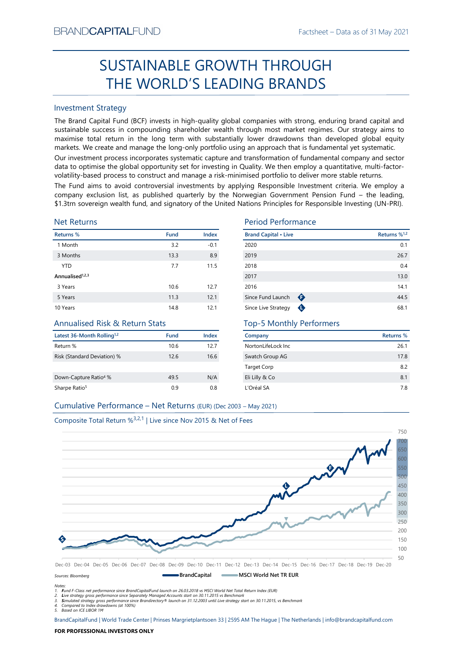# SUSTAINABLE GROWTH THROUGH THE WORLD'S LEADING BRANDS

### Investment Strategy

EXECUTE THE WORLD'S LEADING BRANDS<br>
Fractistiese - Usta as of 31 May 2021<br>
SUSTAINABLE GROWTH THROUGH<br>
THE WORLD'S LEADING BRANDS<br>
Envertent Strategy<br>
The Brand Capital Fund (BCF) invests in high-quality global companies SUSTAINABLE GROWTH THROUGH<br>
THE WORLD'S LEADING BRANDS<br>
mestiment Strategy<br>
me Brand Capital Fund (BCF) invests in high-quality global companies with strong, enduring brand capital and<br>
ustainable success in compounding s BRAND**CAPITAL**FUND<br>
SUSTAINABLE GROWTH THROUGH<br>
THE WORLD'S LEADING BRANDS<br>
Investment Strategy<br>
The Brand Capital Fund (BCF) invests in high-quality global companies with strong, enduring brand capital and<br>
sustainable su BRAND**CAPITAL**FUND<br>
Factsheet – Data as of 31 May 2021<br> **SUSTAINABLE GROWTH THROUGH**<br> **THE WORLD'S LEADING BRANDS**<br>
Investment Strategy<br>
The Brand Capital Fund (BCF) invests in high-quality global companies with strong, en BRAND**CAPITAL**FUND<br>
SUSTAINABLE GROWTH THROUGH<br>
THE WORLD'S LEADING BRANDS<br>
Investment Strategy<br>
Inte Brand Capital Fund (BCF) invests in high-quality global companies with strong, enduring brand capital and<br>
sustainable s BRAND**CAPITAL**FUND<br>
SUSTAINABLE GROWTH THROUGH<br>
THE WORLD'S LEADING BRANDS<br>
Investment Strategy<br>
Investment Strategy<br>
Investment Strategy<br>
Investment Strategy<br>
Investment Strategy<br>
The Brand Capital Fund (BCF) invests in h BRAND**CAPITAL**FUND<br>
SUSTAINABLE GROWTH THROUGH<br>
THE WORLD'S LEADING BRANDS<br>
Investment Strategy<br>
Investment Strategy<br>
Investment Strategy<br>
Investment Strategy<br>
Investment Strategy<br>
Investment Strategy<br>
and Captal is und (I BRAND**CAPITAL**FUND<br>
SUSTAINABLE GROWTH THROUGH<br>
THE WORLD'S LEADING BRANDS<br>
Investment Strategy<br>
Interesting of the grand Capital Fund (BCF) invests in high-quality global companies with strong, enduring brand capital and<br> BRANDCAPITALFUND<br>
SUSTAINABLE GROWTH THROUGH<br>
THE WORLD'S LEADING BRANDS<br>
Investment Strategy<br>
The Brand Capital Fund (BCF) invests in high-quality global companies with strong, enduring brand capital and<br>
sustainable succ ERANDCAPITALFUND<br>
SUSTAINABLE GROWTH THROUGH<br>
THE WORLD'S LEADING BRANDS<br>
Investment Strategy<br>
Investment Strategy<br>
Investment Strategy<br>
Investment Strategy<br>
Investment Strategy<br>
Altan Gaptial Fund (GCF) invests in high-qu **EXAMDCAPITALFUND**<br>
SUSTAINABLE GROWTH THROUGH<br>
THE WORLD'S LEADING BRANDS<br>
Investment Strategy<br>
The Brand Capital Fund (BCF) invests in high-quality global companies with strong, enduring brand capital and<br>
sustsismable **ERANDCAPITALFUND**<br> **SUSTAINABLE GROWTH THROUGH**<br> **THE WORLD'S LEADING BRANDS**<br>
Investment Strategy<br>
Investment Strategy<br>
Investment Strategy<br>
Investment Strategy<br>
Sustainable success in compounding shareholder wealth fun

### Net Returns

| <b>Investment Strategy</b>                                                    |      |              |                                                                                                                                                                                                                                                                                                                                                                                                                                                   |                          |
|-------------------------------------------------------------------------------|------|--------------|---------------------------------------------------------------------------------------------------------------------------------------------------------------------------------------------------------------------------------------------------------------------------------------------------------------------------------------------------------------------------------------------------------------------------------------------------|--------------------------|
|                                                                               |      |              | The Brand Capital Fund (BCF) invests in high-quality global companies with strong, enduring brand capital and<br>sustainable success in compounding shareholder wealth through most market regimes. Our strategy aims to<br>maximise total return in the long term with substantially lower drawdowns than developed global equity<br>markets. We create and manage the long-only portfolio using an approach that is fundamental yet systematic. |                          |
|                                                                               |      |              | Our investment process incorporates systematic capture and transformation of fundamental company and sector<br>data to optimise the global opportunity set for investing in Quality. We then employ a quantitative, multi-factor-<br>volatility-based process to construct and manage a risk-minimised portfolio to deliver more stable returns.                                                                                                  |                          |
|                                                                               |      |              | The Fund aims to avoid controversial investments by applying Responsible Investment criteria. We employ a<br>company exclusion list, as published quarterly by the Norwegian Government Pension Fund - the leading,<br>\$1.3trn sovereign wealth fund, and signatory of the United Nations Principles for Responsible Investing (UN-PRI).                                                                                                         |                          |
| <b>Net Returns</b>                                                            |      |              | <b>Period Performance</b>                                                                                                                                                                                                                                                                                                                                                                                                                         |                          |
| Returns %                                                                     | Fund | Index        | <b>Brand Capital • Live</b>                                                                                                                                                                                                                                                                                                                                                                                                                       | Returns % <sup>1,2</sup> |
| 1 Month                                                                       | 3.2  | $-0.1$       | 2020                                                                                                                                                                                                                                                                                                                                                                                                                                              | 0.1                      |
| 3 Months                                                                      | 13.3 | 8.9          | 2019                                                                                                                                                                                                                                                                                                                                                                                                                                              | 26.7                     |
| <b>YTD</b>                                                                    | 7.7  | 11.5         | 2018                                                                                                                                                                                                                                                                                                                                                                                                                                              | 0.4                      |
| Annualised <sup>1,2,3</sup>                                                   |      |              | 2017                                                                                                                                                                                                                                                                                                                                                                                                                                              | 13.0                     |
| 3 Years                                                                       | 10.6 | 12.7         | 2016                                                                                                                                                                                                                                                                                                                                                                                                                                              | 14.1                     |
| 5 Years                                                                       | 11.3 | 12.1         | Since Fund Launch<br>$\bullet$                                                                                                                                                                                                                                                                                                                                                                                                                    | 44.5                     |
| 10 Years                                                                      | 14.8 | 12.1         | Since Live Strategy<br>$\mathbf \Phi$                                                                                                                                                                                                                                                                                                                                                                                                             | 68.1                     |
| <b>Annualised Risk &amp; Return Stats</b>                                     |      |              | <b>Top-5 Monthly Performers</b>                                                                                                                                                                                                                                                                                                                                                                                                                   |                          |
| Latest 36-Month Rolling <sup>1,2</sup>                                        | Fund | <b>Index</b> | Company                                                                                                                                                                                                                                                                                                                                                                                                                                           | Returns %                |
|                                                                               | 10.6 | 12.7         | NortonLifeLock Inc                                                                                                                                                                                                                                                                                                                                                                                                                                | 26.1                     |
| Return %                                                                      |      |              |                                                                                                                                                                                                                                                                                                                                                                                                                                                   | 17.8                     |
| Risk (Standard Deviation) %                                                   | 12.6 | 16.6         | Swatch Group AG                                                                                                                                                                                                                                                                                                                                                                                                                                   |                          |
|                                                                               |      |              | Target Corp                                                                                                                                                                                                                                                                                                                                                                                                                                       | 8.2                      |
| Down-Capture Ratio <sup>4</sup> %                                             | 49.5 | N/A          | Eli Lilly & Co                                                                                                                                                                                                                                                                                                                                                                                                                                    | 8.1                      |
| Sharpe Ratio <sup>5</sup>                                                     | 0.9  | 0.8          | L'Oréal SA                                                                                                                                                                                                                                                                                                                                                                                                                                        | 7.8                      |
| Cumulative Performance - Net Returns (EUR) (Dec 2003 - May 2021)              |      |              |                                                                                                                                                                                                                                                                                                                                                                                                                                                   |                          |
| Composite Total Return % <sup>3,2,1</sup>   Live since Nov 2015 & Net of Fees |      |              |                                                                                                                                                                                                                                                                                                                                                                                                                                                   |                          |

# Annualised Risk & Return Stats

| Latest 36-Month Rolling <sup>1,2</sup> | <b>Fund</b> | Index |
|----------------------------------------|-------------|-------|
| Return %                               | 10.6        | 127   |
| Risk (Standard Deviation) %            | 126         | 16.6  |
| Down-Capture Ratio <sup>4</sup> %      | 49.5        | N/A   |
| Sharpe Ratio <sup>5</sup>              | 0.9         | 0.8   |

### Period Performance

| SMANU <b>UAPHAL</b> FUND                                                    |      |        |                                                                                                                                                                                                                                                                                                                                                                                                                                                                                                                                                                                                                                                                                          | Factsheet – Data as of 31 May 2021 |
|-----------------------------------------------------------------------------|------|--------|------------------------------------------------------------------------------------------------------------------------------------------------------------------------------------------------------------------------------------------------------------------------------------------------------------------------------------------------------------------------------------------------------------------------------------------------------------------------------------------------------------------------------------------------------------------------------------------------------------------------------------------------------------------------------------------|------------------------------------|
|                                                                             |      |        | SUSTAINABLE GROWTH THROUGH                                                                                                                                                                                                                                                                                                                                                                                                                                                                                                                                                                                                                                                               |                                    |
|                                                                             |      |        | THE WORLD'S LEADING BRANDS                                                                                                                                                                                                                                                                                                                                                                                                                                                                                                                                                                                                                                                               |                                    |
| nvestment Strategy                                                          |      |        |                                                                                                                                                                                                                                                                                                                                                                                                                                                                                                                                                                                                                                                                                          |                                    |
|                                                                             |      |        | he Brand Capital Fund (BCF) invests in high-quality global companies with strong, enduring brand capital and<br>ustainable success in compounding shareholder wealth through most market regimes. Our strategy aims to<br>naximise total return in the long term with substantially lower drawdowns than developed global equity<br>narkets. We create and manage the long-only portfolio using an approach that is fundamental yet systematic.                                                                                                                                                                                                                                          |                                    |
|                                                                             |      |        | Our investment process incorporates systematic capture and transformation of fundamental company and sector<br>lata to optimise the global opportunity set for investing in Quality. We then employ a quantitative, multi-factor-<br>olatility-based process to construct and manage a risk-minimised portfolio to deliver more stable returns.<br>he Fund aims to avoid controversial investments by applying Responsible Investment criteria. We employ a<br>ompany exclusion list, as published quarterly by the Norwegian Government Pension Fund - the leading,<br>1.3trn sovereign wealth fund, and signatory of the United Nations Principles for Responsible Investing (UN-PRI). |                                    |
| <b>Jet Returns</b>                                                          |      |        | <b>Period Performance</b>                                                                                                                                                                                                                                                                                                                                                                                                                                                                                                                                                                                                                                                                |                                    |
| eturns %                                                                    | Fund | Index  | <b>Brand Capital • Live</b>                                                                                                                                                                                                                                                                                                                                                                                                                                                                                                                                                                                                                                                              | Returns % <sup>1,2</sup>           |
| 1 Month                                                                     | 3.2  | $-0.1$ | 2020                                                                                                                                                                                                                                                                                                                                                                                                                                                                                                                                                                                                                                                                                     | 0.1                                |
| 3 Months                                                                    | 13.3 | 8.9    | 2019                                                                                                                                                                                                                                                                                                                                                                                                                                                                                                                                                                                                                                                                                     | 26.7                               |
| <b>YTD</b>                                                                  | 7.7  | 11.5   | 2018                                                                                                                                                                                                                                                                                                                                                                                                                                                                                                                                                                                                                                                                                     | 0.4                                |
| nnualised <sup>1,2,3</sup>                                                  |      |        | 2017                                                                                                                                                                                                                                                                                                                                                                                                                                                                                                                                                                                                                                                                                     | 13.0                               |
| 3 Years                                                                     | 10.6 | 12.7   | 2016                                                                                                                                                                                                                                                                                                                                                                                                                                                                                                                                                                                                                                                                                     | 14.1                               |
| 5 Years                                                                     | 11.3 | 12.1   | Since Fund Launch $\bigoplus$                                                                                                                                                                                                                                                                                                                                                                                                                                                                                                                                                                                                                                                            | 44.5                               |
| 0 Years                                                                     | 14.8 | 12.1   | Since Live Strategy <b>O</b>                                                                                                                                                                                                                                                                                                                                                                                                                                                                                                                                                                                                                                                             | 68.1                               |
| Annualised Risk & Return Stats                                              |      |        | <b>Top-5 Monthly Performers</b>                                                                                                                                                                                                                                                                                                                                                                                                                                                                                                                                                                                                                                                          |                                    |
| atest 36-Month Rolling <sup>1,2</sup>                                       | Fund | Index  | Company                                                                                                                                                                                                                                                                                                                                                                                                                                                                                                                                                                                                                                                                                  | <b>Returns %</b>                   |
| eturn %                                                                     | 10.6 | 12.7   | NortonLifeLock Inc                                                                                                                                                                                                                                                                                                                                                                                                                                                                                                                                                                                                                                                                       | 26.1                               |
| isk (Standard Deviation) %                                                  | 12.6 | 16.6   | Swatch Group AG                                                                                                                                                                                                                                                                                                                                                                                                                                                                                                                                                                                                                                                                          | 17.8                               |
|                                                                             |      |        | <b>Target Corp</b>                                                                                                                                                                                                                                                                                                                                                                                                                                                                                                                                                                                                                                                                       | 8.2                                |
| own-Capture Ratio <sup>4</sup> %                                            | 49.5 | N/A    | Eli Lilly & Co                                                                                                                                                                                                                                                                                                                                                                                                                                                                                                                                                                                                                                                                           | 8.1                                |
| harpe Ratio <sup>5</sup>                                                    | 0.9  | 0.8    | L'Oréal SA                                                                                                                                                                                                                                                                                                                                                                                                                                                                                                                                                                                                                                                                               | 7.8                                |
| Cumulative Performance - Net Returns (EUR) (Dec 2003 - May 2021)            |      |        |                                                                                                                                                                                                                                                                                                                                                                                                                                                                                                                                                                                                                                                                                          |                                    |
|                                                                             |      |        |                                                                                                                                                                                                                                                                                                                                                                                                                                                                                                                                                                                                                                                                                          |                                    |
| Composite Total Return $\frac{23}{2,1}$   Live since Nov 2015 & Net of Fees |      |        |                                                                                                                                                                                                                                                                                                                                                                                                                                                                                                                                                                                                                                                                                          |                                    |
|                                                                             |      |        |                                                                                                                                                                                                                                                                                                                                                                                                                                                                                                                                                                                                                                                                                          | 750                                |

# Top-5 Monthly Performers

| Company             | Returns % |
|---------------------|-----------|
| NortonLifeLock Inc. | 26.1      |
| Swatch Group AG     | 17.8      |
| <b>Target Corp</b>  | 8.2       |
| Eli Lilly & Co      | 8.1       |
| L'Oréal SA          | 7.8       |



Notes: 1. Fund F-Class net performance since BrandCapitalFund launch on 26.03.2018 vs MSCI World Net Total Return Index (EUR)

2. Live strategy gross performance since Separately Managed Accounts start on 30.11.2015 vs Benchmark<br>3. Simulated strategy gross performance since Brandirectory® launch on 31.12.2003 until Live strategy start on 30.11.201

5. Based on ICE LIBOR 1M